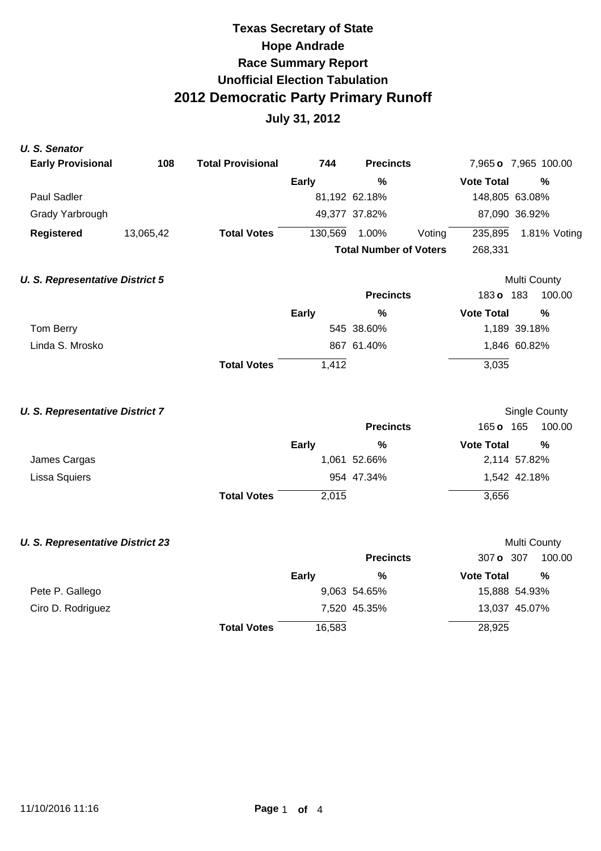# **Texas Secretary of State Hope Andrade Race Summary Report Unofficial Election Tabulation 2012 Democratic Party Primary Runoff**

| <b>U.S. Senator</b>                     |           |                          |              |                               |                   |                         |
|-----------------------------------------|-----------|--------------------------|--------------|-------------------------------|-------------------|-------------------------|
| <b>Early Provisional</b>                | 108       | <b>Total Provisional</b> | 744          | <b>Precincts</b>              |                   | 7,965 o 7,965 100.00    |
|                                         |           |                          | <b>Early</b> | $\%$                          | <b>Vote Total</b> | $\frac{0}{0}$           |
| Paul Sadler                             |           |                          |              | 81,192 62.18%                 | 148,805 63.08%    |                         |
| Grady Yarbrough                         |           |                          |              | 49,377 37.82%                 | 87,090 36.92%     |                         |
| <b>Registered</b>                       | 13,065,42 | <b>Total Votes</b>       | 130,569      | 1.00%<br>Voting               | 235,895           | 1.81% Voting            |
|                                         |           |                          |              | <b>Total Number of Voters</b> | 268,331           |                         |
| <b>U. S. Representative District 5</b>  |           |                          |              |                               |                   | Multi County            |
|                                         |           |                          |              | <b>Precincts</b>              | 183 o 183         | 100.00                  |
|                                         |           |                          | <b>Early</b> | %                             | <b>Vote Total</b> | $\frac{0}{0}$           |
| Tom Berry                               |           |                          |              | 545 38.60%                    |                   | 1,189 39.18%            |
| Linda S. Mrosko                         |           |                          |              | 867 61.40%                    |                   | 1,846 60.82%            |
|                                         |           | <b>Total Votes</b>       | 1,412        |                               | 3,035             |                         |
|                                         |           |                          |              |                               |                   |                         |
| <b>U. S. Representative District 7</b>  |           |                          |              | <b>Precincts</b>              | 165 o 165         | Single County<br>100.00 |
|                                         |           |                          |              |                               |                   |                         |
|                                         |           |                          | <b>Early</b> | $\frac{0}{0}$<br>1,061 52.66% | <b>Vote Total</b> | $\frac{0}{0}$           |
| James Cargas                            |           |                          |              | 954 47.34%                    |                   | 2,114 57.82%            |
| Lissa Squiers                           |           |                          |              |                               |                   | 1,542 42.18%            |
|                                         |           | <b>Total Votes</b>       | 2,015        |                               | 3,656             |                         |
| <b>U. S. Representative District 23</b> |           |                          |              |                               |                   | Multi County            |
|                                         |           |                          |              | <b>Precincts</b>              | 307 o 307         | 100.00                  |
|                                         |           |                          | <b>Early</b> | $\%$                          | <b>Vote Total</b> | $\frac{0}{0}$           |
| Pete P. Gallego                         |           |                          |              | 9,063 54.65%                  |                   | 15,888 54.93%           |
| Ciro D. Rodriguez                       |           |                          |              | 7,520 45.35%                  |                   | 13,037 45.07%           |
|                                         |           | <b>Total Votes</b>       | 16,583       |                               | 28,925            |                         |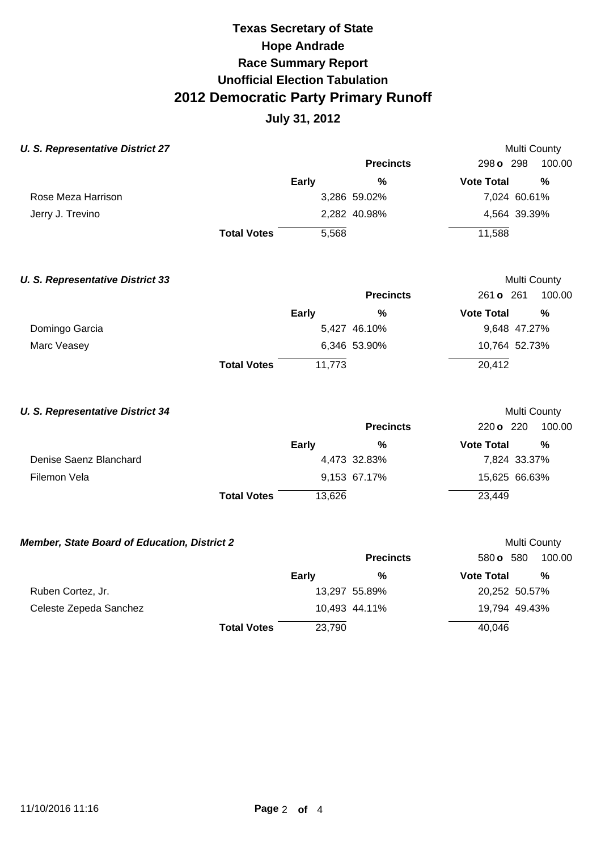## **Texas Secretary of State Hope Andrade Race Summary Report Unofficial Election Tabulation 2012 Democratic Party Primary Runoff**

| <b>U. S. Representative District 27</b>      |                    |              |                  |                   | Multi County  |
|----------------------------------------------|--------------------|--------------|------------------|-------------------|---------------|
|                                              |                    |              | <b>Precincts</b> | 298 o 298         | 100.00        |
|                                              |                    | <b>Early</b> | $\%$             | <b>Vote Total</b> | $\frac{0}{0}$ |
| Rose Meza Harrison                           |                    |              | 3,286 59.02%     | 7,024 60.61%      |               |
| Jerry J. Trevino                             |                    |              | 2,282 40.98%     | 4,564 39.39%      |               |
|                                              | <b>Total Votes</b> | 5,568        |                  | 11,588            |               |
| <b>U. S. Representative District 33</b>      |                    |              |                  |                   | Multi County  |
|                                              |                    |              | <b>Precincts</b> | 261 o 261         | 100.00        |
|                                              |                    | Early        | %                | <b>Vote Total</b> | $\frac{0}{0}$ |
| Domingo Garcia                               |                    |              | 5,427 46.10%     | 9,648 47.27%      |               |
| Marc Veasey                                  |                    |              | 6,346 53.90%     | 10,764 52.73%     |               |
|                                              | <b>Total Votes</b> | 11,773       |                  | 20,412            |               |
| <b>U. S. Representative District 34</b>      |                    |              |                  |                   | Multi County  |
|                                              |                    |              | <b>Precincts</b> | 220 o 220         | 100.00        |
|                                              |                    | Early        | %                | <b>Vote Total</b> | %             |
| Denise Saenz Blanchard                       |                    |              | 4,473 32.83%     | 7,824 33.37%      |               |
| Filemon Vela                                 |                    |              | 9,153 67.17%     | 15,625 66.63%     |               |
|                                              | <b>Total Votes</b> | 13,626       |                  | 23,449            |               |
| Member, State Board of Education, District 2 |                    |              |                  |                   | Multi County  |
|                                              |                    |              | <b>Precincts</b> | 580 o 580         | 100.00        |
|                                              |                    | Early        | $\frac{0}{0}$    | <b>Vote Total</b> | $\frac{0}{0}$ |
| Ruben Cortez, Jr.                            |                    |              | 13,297 55.89%    | 20,252 50.57%     |               |
| Celeste Zepeda Sanchez                       |                    |              | 10,493 44.11%    | 19,794 49.43%     |               |
|                                              | <b>Total Votes</b> | 23,790       |                  | 40,046            |               |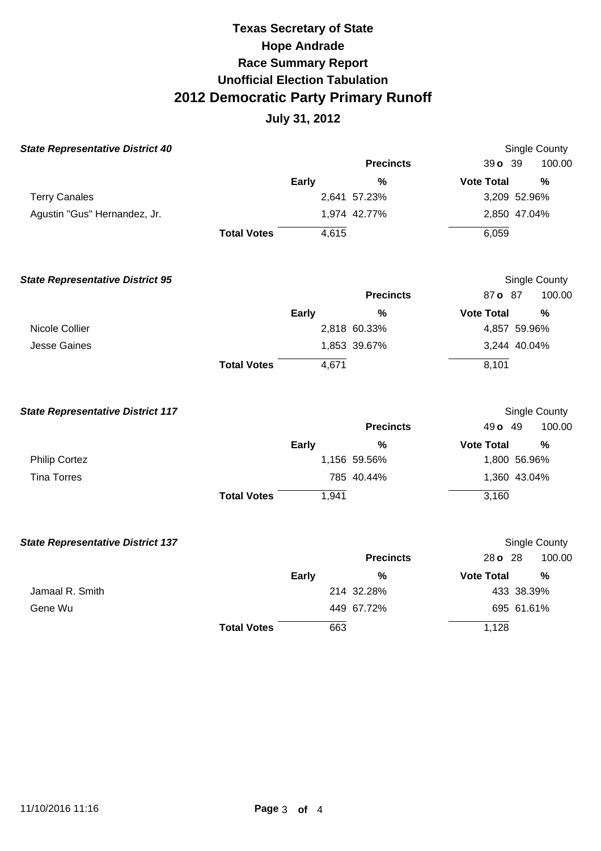## **Texas Secretary of State Hope Andrade Race Summary Report Unofficial Election Tabulation 2012 Democratic Party Primary Runoff**

| <b>State Representative District 40</b>  |                    |              |                  |                      | Single County |
|------------------------------------------|--------------------|--------------|------------------|----------------------|---------------|
|                                          |                    |              | <b>Precincts</b> | 39 o 39              | 100.00        |
|                                          |                    | <b>Early</b> | $\%$             | <b>Vote Total</b>    | $\frac{0}{0}$ |
| <b>Terry Canales</b>                     |                    |              | 2,641 57.23%     | 3,209 52.96%         |               |
| Agustin "Gus" Hernandez, Jr.             |                    |              | 1,974 42.77%     | 2,850 47.04%         |               |
|                                          | <b>Total Votes</b> | 4,615        |                  | 6,059                |               |
| <b>State Representative District 95</b>  |                    |              |                  | Single County        |               |
|                                          |                    |              | <b>Precincts</b> | 87 o 87              | 100.00        |
|                                          |                    | <b>Early</b> | %                | <b>Vote Total</b>    | $\frac{0}{0}$ |
| Nicole Collier                           |                    |              | 2,818 60.33%     | 4,857 59.96%         |               |
| <b>Jesse Gaines</b>                      |                    |              | 1,853 39.67%     | 3,244 40.04%         |               |
|                                          | <b>Total Votes</b> | 4,671        |                  | 8,101                |               |
| <b>State Representative District 117</b> |                    |              |                  |                      | Single County |
|                                          |                    |              | <b>Precincts</b> | 49 o 49              | 100.00        |
|                                          |                    | <b>Early</b> | %                | <b>Vote Total</b>    | %             |
| <b>Philip Cortez</b>                     |                    |              | 1,156 59.56%     | 1,800 56.96%         |               |
| <b>Tina Torres</b>                       |                    |              | 785 40.44%       | 1,360 43.04%         |               |
|                                          | <b>Total Votes</b> | 1,941        |                  | 3,160                |               |
| <b>State Representative District 137</b> |                    |              |                  | <b>Single County</b> |               |
|                                          |                    |              | <b>Precincts</b> | 28 o 28              | 100.00        |
|                                          |                    | <b>Early</b> | %                | <b>Vote Total</b>    | %             |
| Jamaal R. Smith                          |                    |              | 214 32.28%       | 433 38.39%           |               |
| Gene Wu                                  |                    |              | 449 67.72%       | 695 61.61%           |               |
|                                          | <b>Total Votes</b> | 663          |                  | 1,128                |               |